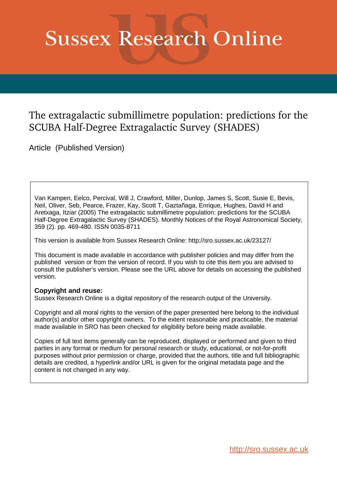# **Sussex Research Online**

# The extragalactic submillimetre population: predictions for the SCUBA Half-Degree Extragalactic Survey (SHADES)

Article (Published Version)

Van Kampen, Eelco, Percival, Will J, Crawford, Miller, Dunlop, James S, Scott, Susie E, Bevis, Neil, Oliver, Seb, Pearce, Frazer, Kay, Scott T, Gaztañaga, Enrique, Hughes, David H and Aretxaga, Itziar (2005) The extragalactic submillimetre population: predictions for the SCUBA Half-Degree Extragalactic Survey (SHADES). Monthly Notices of the Royal Astronomical Society, 359 (2). pp. 469-480. ISSN 0035-8711

This version is available from Sussex Research Online: http://sro.sussex.ac.uk/23127/

This document is made available in accordance with publisher policies and may differ from the published version or from the version of record. If you wish to cite this item you are advised to consult the publisher's version. Please see the URL above for details on accessing the published version.

### **Copyright and reuse:**

Sussex Research Online is a digital repository of the research output of the University.

Copyright and all moral rights to the version of the paper presented here belong to the individual author(s) and/or other copyright owners. To the extent reasonable and practicable, the material made available in SRO has been checked for eligibility before being made available.

Copies of full text items generally can be reproduced, displayed or performed and given to third parties in any format or medium for personal research or study, educational, or not-for-profit purposes without prior permission or charge, provided that the authors, title and full bibliographic details are credited, a hyperlink and/or URL is given for the original metadata page and the content is not changed in any way.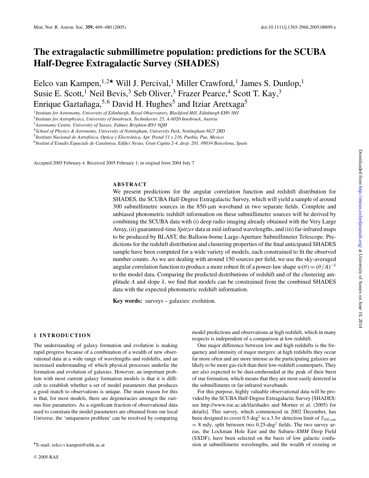## **The extragalactic submillimetre population: predictions for the SCUBA Half-Degree Extragalactic Survey (SHADES)**

Eelco van Kampen,<sup>1,2\*</sup> Will J. Percival,<sup>1</sup> Miller Crawford,<sup>1</sup> James S. Dunlop,<sup>1</sup> Susie E. Scott,<sup>1</sup> Neil Bevis,<sup>3</sup> Seb Oliver,<sup>3</sup> Frazer Pearce,<sup>4</sup> Scott T. Kay,<sup>3</sup> Enrique Gaztañaga,<sup>5,6</sup> David H. Hughes<sup>5</sup> and Itziar Aretxaga<sup>5</sup>

1 *Institute for Astronomy, University of Edinburgh, Royal Observatory, Blackford Hill, Edinburgh EH9 3HJ*

2 *Institute for Astrophysics, University of Innsbruck, Technikerstr. 25, A-6020 Innsbruck, Austria*

<sup>4</sup>*School of Physics & Astronomy, University of Nottingham, University Park, Nottingham NG7 2RD*

5 *Instituto Nacional de Astrof´ısica, Optica y Electronica, Apt. Postal 51 y 216, Puebla, Pue, Mexico ´*

6 *Institut d'Estudis Espacials de Catalunya, Edifici Nexus, Gran Capita 2-4, desp. 201, 08034 Barcelona, Spain*

Accepted 2005 February 4. Received 2005 February 1; in original form 2004 July 7

#### **ABSTRACT**

We present predictions for the angular correlation function and redshift distribution for SHADES, the SCUBA Half-Degree Extragalactic Survey, which will yield a sample of around 300 submillimetre sources in the 850-µm waveband in two separate fields. Complete and unbiased photometric redshift information on these submillimetre sources will be derived by combining the SCUBA data with (i) deep radio imaging already obtained with the Very Large Array, (ii) guaranteed-time *Spitzer* data at mid-infrared wavelengths, and (iii) far-infrared maps to be produced by BLAST, the Balloon-borne Large-Aperture Submillimeter Telescope. Predictions for the redshift distribution and clustering properties of the final anticipated SHADES sample have been computed for a wide variety of models, each constrained to fit the observed number counts. As we are dealing with around 150 sources per field, we use the sky-averaged angular correlation function to produce a more robust fit of a power-law shape  $w(\theta) = (\theta/A)^{-\delta}$ to the model data. Comparing the predicted distributions of redshift and of the clustering amplitude *A* and slope  $\delta$ , we find that models can be constrained from the combined SHADES data with the expected photometric redshift information.

**Key words:** surveys – galaxies: evolution.

#### **1 INTRODUCTION**

The understanding of galaxy formation and evolution is making rapid progress because of a combination of a wealth of new observational data at a wide range of wavelengths and redshifts, and an increased understanding of which physical processes underlie the formation and evolution of galaxies. However, an important problem with most current galaxy formation models is that it is difficult to establish whether a set of model parameters that produces a good match to observations is unique. The main reason for this is that, for most models, there are degeneracies amongst the various free parameters. As a significant fraction of observational data used to constrain the model parameters are obtained from our local Universe, the 'uniqueness problem' can be resolved by comparing

model predictions and observations at high redshift, which in many respects is independent of a comparison at low redshift.

One major difference between low and high redshifts is the frequency and intensity of major mergers: at high redshifts they occur far more often and are more intense as the participating galaxies are likely to be more gas-rich than their low-redshift counterparts. They are also expected to be dust-enshrouded at the peak of their burst of star formation, which means that they are most easily detected in the submillimetre or far-infrared wavebands.

For this purpose, highly valuable observational data will be provided by the SCUBA Half-Degree Extragalactic Survey [SHADES: see http://www.roe.ac.uk/ifa/shades and Mortier et al. (2005) for details]. This survey, which commenced in 2002 December, has been designed to cover 0.5 deg<sup>2</sup> to a 3.5 $\sigma$  detection limit of  $S_{850 \mu m}$  $= 8$  mJy, split between two 0.25-deg<sup>2</sup> fields. The two survey areas, the Lockman Hole East and the Subaru–*XMM* Deep Field (SXDF), have been selected on the basis of low galactic confusion at submillimetre wavelengths, and the wealth of existing or

<sup>3</sup>*Astronomy Centre, University of Sussex, Falmer, Brighton BN1 9QH*

<sup>⋆</sup>E-mail: eelco.v.kampen@uibk.ac.at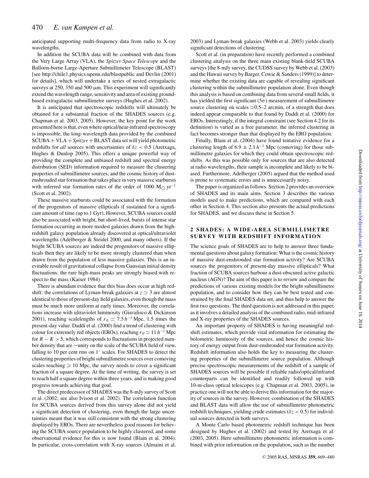anticipated supporting multi-frequency data from radio to X-ray wavelengths.

In addition the SCUBA data will be combined with data from the Very Large Array (VLA), the *Spitzer Space Telescope* and the Balloon-borne Large-Aperture Submillimeter Telescope (BLAST) [see http://chile1.physics.upenn.edu/blastpublic and Devlin (2001) for details], which will undertake a series of nested extragalactic surveys at  $250$ ,  $350$  and  $500 \mu m$ . This experiment will significantly extend the wavelength range, sensitivity and area of existing groundbased extragalactic submillimetre surveys (Hughes et al. 2002).

It is anticipated that spectroscopic redshifts will ultimately be obtained for a substantial fraction of the SHADES sources (e.g. Chapman et al. 2003, 2005). However, the key point for the work presented here is that, even where optical/near-infrared spectroscopy is impossible, the long-wavelength data provided by the combined SCUBA + VLA + *Spitzer* + BLAST data set will yield photometric redshifts for *all* sources with uncertainties of  $\delta z < 0.5$  (Aretxaga, Hughes & Dunlop 2005). This offers a unique powerful way of providing the complete and unbiased redshift and spectral energy distribution (SED) information required to measure the clustering properties of submillimetre sources, and the cosmic history of dustenshrouded star formation that takes place in very massive starbursts with inferred star formation rates of the order of 1000 M<sub> $\odot$ </sub> yr<sup>-1</sup> (Scott et al. 2002).

These massive starbursts could be associated with the formation of the progenitors of massive ellipticals if sustained for a significant amount of time (up to 1 Gyr). However, SCUBA sources could also be associated with bright, but short-lived, bursts of intense star formation occurring in more modest galaxies drawn from the highredshift galaxy population already discovered at optical/ultraviolet wavelengths (Adelberger & Steidel 2000, and many others). If the bright SCUBA sources are indeed the progenitors of massive ellipticals then they are likely to be more strongly clustered than when drawn from the population of less massive galaxies. This is an inevitable result of gravitational collapse from Gaussian initial density fluctuations: the rare high-mass peaks are strongly biased with respect to the mass (Kaiser 1984).

There is abundant evidence that this bias does occur at high redshift: the correlations of Lyman-break galaxies at  $z \approx 3$  are almost identical to those of present-day field galaxies, even though the mass must be much more uniform at early times. Moreover, the correlations increase with ultraviolet luminosity (Giavalisco & Dickinson 2001), reaching scalelengths of  $r_0 \simeq 7.5 h^{-1}$  Mpc, 1.5 times the present-day value. Daddi et al. (2000) find a trend of clustering with colour for extremely red objects (EROs), reaching  $r_0$   $\simeq$  11  $h^{-1}$  Mpc for  $R - K > 5$ , which corresponds to fluctuations in projected number density that are ∼unity on the scale of the SCUBA field of view, falling to 10 per cent rms on 1° scales. For SHADES to detect the clustering properties of bright submillimetre sources over comoving scales reaching  $\geqslant$  10 Mpc, the survey needs to cover a significant fraction of a square degree. At the time of writing, the survey is set to reach half a square degree within three years, and is making good progress towards achieving that goal.

The direct predecessor of SHADES was the 8-mJy survey of Scott et al. (2002; see also Ivison et al. 2002). The correlation function for SCUBA sources derived from this survey alone did not yield a significant detection of clustering, even though the large uncertainties meant that it was still consistent with the strong clustering displayed by EROs. There are nevertheless good reasons for believing the SCUBA source population to be highly clustered, and some observational evidence for this is now found (Blain et al. 2004). In particular, cross-correlation with X-ray sources (Almaini et al. 2003) and Lyman-break galaxies (Webb et al. 2003) yields clearly significant detections of clustering.

Scott et al. (in preparation) have recently performed a combined clustering analysis on the three main existing blank-field SCUBA surveys [the 8-mJy survey, the CUDSS survey by Webb et al. (2003) and the Hawaii survey by Barger, Cowie & Sanders (1999)] to determine whether the existing data are capable of revealing significant clustering within the submillimetre population alone. Even though this analysis is based on combining data from several small fields, it has yielded the first significant  $(5\sigma)$  measurement of submillimetre source clustering on scales  $\approx$ 0.5–2 arcmin, of a strength that does indeed appear comparable to that found by Daddi et al. (2000) for EROs. Interestingly, if the integral constraint (see Section 4.2 for its definition) is varied as a free parameter, the inferred clustering in fact becomes stronger than that displayed by the ERO population.

Finally, Blain et al. (2004) have found tentative evidence for a clustering length of  $6.9 \pm 2.1 h^{-1}$  Mpc (comoving) for those submillimetre galaxies for which they could obtain spectroscopic redshifts. As this was possible only for sources that are also detected at radio wavelengths, their sample is incomplete and likely to be biased. Furthermore, Adelberger (2005) argued that the method used is prone to systematic errors and is unnecessarily noisy.

The paper is organized as follows. Section 2 provides an overview of SHADES and its main aims. Section 3 describes the various models used to make predictions, which are compared with each other in Section 4. This section also presents the actual predictions for SHADES, and we discuss these in Section 5.

#### **2 SHADES: A WIDE-AREA SUBMILLIMETRE SURVEY WITH REDSHIFT INFORMATION**

The science goals of SHADES are to help to answer three fundamental questions about galaxy formation: What is the cosmic history of massive dust-enshrouded star formation activity? Are SCUBA sources the progenitors of present-day massive ellipticals? What fraction of SCUBA sources harbour a dust-obscured active galactic nucleus (AGN)? The aim of this paper is to review and compare the predictions of various existing models for the bright submillimetre population, and to consider how they can be best tested and constrained by the final SHADES data set, and thus help to answer the first two questions. The third question is not addressed in this paper, as it involves a detailed analysis of the combined radio, mid-infrared and X-ray properties of the SHADES sources.

An important property of SHADES is having meaningful redshift estimates, which provide vital information for estimating the bolometric luminosity of the sources, and hence the cosmic history of energy output from dust-enshrouded star formation activity. Redshift information also holds the key to measuring the clustering properties of the submillimetre source population. Although precise spectroscopic measurements of the redshift of a sample of SHADES sources will be possible if reliable radio/optical/infrared counterparts can be identified and readily followed up with 10-m-class optical telescopes (e.g. Chapman et al. 2003, 2005), in practice one will not be able to derive this information for the majority of sources in the survey. However, combination of the SHADES and BLAST data will allow the use of submillimetre photometric redshift techniques, yielding crude estimates ( $\delta z < 0.5$ ) for individual sources detected in both surveys.

A Monte Carlo based photometric redshift technique has been designed by Hughes et al. (2002) and tested by Aretxaga et al. (2003, 2005). Here submillimetre photometric information is combined with prior information on the population, such as the number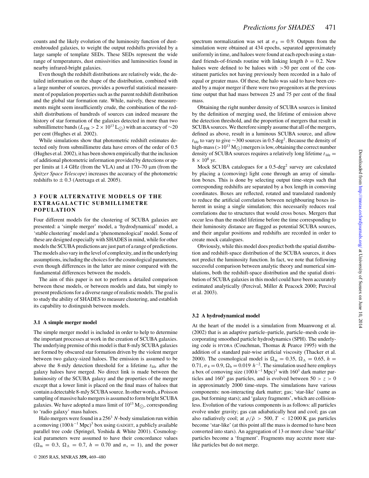counts and the likely evolution of the luminosity function of dustenshrouded galaxies, to weight the output redshifts provided by a large sample of template SEDs. These SEDs represent the wide range of temperatures, dust emissivities and luminosities found in nearby infrared-bright galaxies.

Even though the redshift distributions are relatively wide, the detailed information on the shape of the distribution, combined with a large number of sources, provides a powerful statistical measurement of population properties such as the parent redshift distribution and the global star formation rate. While, naively, these measurements might seem insufficiently crude, the combination of the redshift distributions of hundreds of sources can indeed measure the history of star formation of the galaxies detected in more than two submillimetre bands ( $L_{\text{FIR}} > 2 \times 10^{13}$  L<sub>⊙</sub>) with an accuracy of ~20 per cent (Hughes et al. 2002).

While simulations show that photometric redshift estimates detected only from submillimetre data have errors of the order of 0.5 (Hughes et al. 2002), it has been shown empirically that the inclusion of additional photometric information provided by detections or upper limits at 1.4 GHz (from the VLA) and at 170–70 µm (from the *Spitzer Space Telescope*) increases the accuracy of the photometric redshifts to  $\pm$  0.3 (Aretxaga et al. 2005).

#### **3 FOUR ALTERNATIVE MODELS OF THE EXTRAGALACTIC SUBMILLIMETRE POPULATION**

Four different models for the clustering of SCUBA galaxies are presented: a 'simple merger' model, a 'hydrodynamical' model, a 'stable clustering' model and a 'phenomenological' model. Some of these are designed especially with SHADES in mind, while for other models the SCUBA predictions are just part of a range of predictions. The models also vary in the level of complexity, and in the underlying assumptions, including the choices for the cosmological parameters, even though differences in the latter are minor compared with the fundamental differences between the models.

The aim of this paper is not to perform a detailed comparison between these models, or between models and data, but simply to present predictions for a diverse range of realistic models. The goal is to study the ability of SHADES to measure clustering, and establish its capability to distinguish between models.

#### **3.1 A simple merger model**

The simple merger model is included in order to help to determine the important processes at work in the creation of SCUBA galaxies. The underlying premise of this model is that 8-mJy SCUBA galaxies are formed by obscured star formation driven by the violent merger between two galaxy-sized haloes. The emission is assumed to be above the 8-mJy detection threshold for a lifetime  $t_{\text{life}}$  after the galaxy haloes have merged. No direct link is made between the luminosity of the SCUBA galaxy and the properties of the merger except that a lower limit is placed on the final mass of haloes that contain a detectable 8-mJy SCUBA source. In other words, a Poisson sampling of massive halo mergers is assumed to form bright SCUBA galaxies. We have adopted a mass limit of  $10^{13}$  M<sub> $\odot$ </sub>, corresponding to 'radio galaxy' mass haloes.

Halo mergers were found in a 256<sup>3</sup> N-body simulation run within a comoving  $(100 h^{-1}$  Mpc)<sup>3</sup> box using GADGET, a publicly available parallel tree code (Springel, Yoshida & White 2001). Cosmological parameters were assumed to have their concordance values  $(\Omega_{\rm m} = 0.3, \Omega_{\Lambda} = 0.7, h = 0.70 \text{ and } n_{\rm s} = 1)$ , and the power spectrum normalization was set at  $\sigma_8 = 0.9$ . Outputs from the simulation were obtained at 434 epochs, separated approximately uniformly in time, and haloes were found at each epoch using a standard friends-of-friends routine with linking length  $b = 0.2$ . New haloes were defined to be haloes with  $>50$  per cent of the constituent particles not having previously been recorded in a halo of equal or greater mass. Of these, the halo was said to have been created by a major merger if there were two progenitors at the previous time output that had mass between 25 and 75 per cent of the final mass.

Obtaining the right number density of SCUBA sources is limited by the definition of merging used, the lifetime of emission above the detection threshold, and the proportion of mergers that result in SCUBA sources. We therefore simply assume that all of the mergers, defined as above, result in a luminous SCUBA source, and allow  $t<sub>life</sub>$  to vary to give  $\sim$ 300 sources in 0.5 deg<sup>2</sup>. Because the density of high-mass ( $>10^{13}$  M $_{\odot}$ ) mergers is low, obtaining the correct number density of SCUBA sources requires a relatively long lifetime  $t_{\text{life}} =$  $8 \times 10^8$  yr.

Mock SCUBA catalogues for a 0.5-deg<sup>2</sup> survey are calculated by placing a (comoving) light cone through an array of simulation boxes. This is done by selecting output time-steps such that corresponding redshifts are separated by a box length in comoving coordinates. Boxes are reflected, rotated and translated randomly to reduce the artificial correlation between neighbouring boxes inherent in using a single simulation; this necessarily reduces real correlations due to structures that would cross boxes. Mergers that occur less than the model lifetime before the time corresponding to their luminosity distance are flagged as potential SCUBA sources, and their angular positions and redshifts are recorded in order to create mock catalogues.

Obviously, while this model does predict both the spatial distribution and redshift-space distribution of the SCUBA sources, it does not predict the luminosity function. In fact, we note that following successful comparison between analytic theory and numerical simulations, both the redshift-space distribution and the spatial distribution of SCUBA galaxies in this model could have been accurately estimated analytically (Percival, Miller & Peacock 2000; Percival et al. 2003).

#### **3.2 A hydrodynamical model**

At the heart of the model is a simulation from Muanwong et al. (2002) that is an adaptive particle–particle, particle–mesh code incorporating smoothed particle hydrodynamics (SPH). The underlying code is HYDRA (Couchman, Thomas & Pearce 1995) with the addition of a standard pair-wise artificial viscosity (Thacker et al. 2000). The cosmological model is  $\Omega_{\rm m} = 0.35$ ,  $\Omega_{\Lambda} = 0.65$ ,  $h =$  $0.71, \sigma_8 = 0.9, \Omega_b = 0.019$  *h*<sup>-2</sup>. The simulation used here employs a box of comoving size  $(100 h^{-1}$  Mpc)<sup>3</sup> with  $160^3$  dark matter particles and  $160<sup>3</sup>$  gas particles, and is evolved between  $50 > z > 0$ in approximately 2000 time-steps. The simulations have various components: non-interacting dark matter; gas; 'star-like' (same as gas, but forming stars); and 'galaxy fragments', which are collisionless. Evolution of the various components is as follows: all particles evolve under gravity; gas can adiabatically heat and cool; gas can also radiatively cool; at  $\rho/\bar{\rho} > 500$ ,  $T < 12000$  K gas particles become 'star-like' (at this point all the mass is deemed to have been converted into stars). An aggregation of 13 or more close 'star-like' particles become a 'fragment'. Fragments may accrete more starlike particles but do not merge.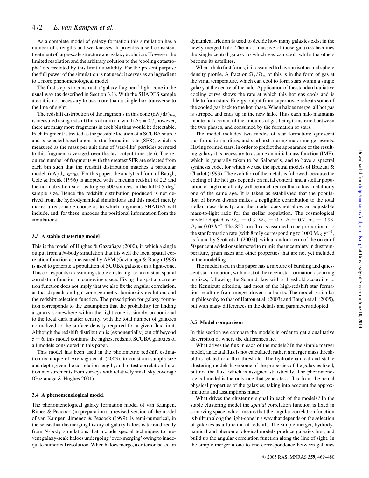As a complete model of galaxy formation this simulation has a number of strengths and weaknesses. It provides a self-consistent treatment of large-scale structure and galaxy evolution. However, the limited resolution and the arbitrary solution to the 'cooling catastrophe' necessitated by this limit its validity. For the present purpose the full power of the simulation is not used; it serves as an ingredient to a more phenomenological model.

The first step is to construct a 'galaxy fragment' light-cone in the usual way (as described in Section 3.1). With the SHADES sample area it is not necessary to use more than a single box transverse to the line of sight.

The redshift distribution of the fragments in this cone  $\left(\frac{dN}{dz}\right)_{\text{frag}}$ is measured using redshift bins of uniform width  $\Delta z = 0.7$ ; however, there are many more fragments in each bin than would be detectable. Each fragment is treated as the possible location of a SCUBA source and is selected based upon its star formation rate (SFR), which is measured as the mass per unit time of 'star-like' particles accreted to this fragment (averaged over the last output time-step). The required number of fragments with the greatest SFR are selected from each bin such that the redshift distribution matches a particular model:  $(dN/dz)_{\text{SCUBA}}$ . For this paper, the analytical form of Baugh, Cole & Frenk (1996) is adopted with a median redshift of 2.3 and the normalization such as to give 300 sources in the full  $0.5$ -deg<sup>2</sup> sample size. Hence the redshift distribution produced is not derived from the hydrodynamical simulations and this model merely makes a reasonable choice as to which fragments SHADES will include, and, for these, encodes the positional information from the simulations.

#### **3.3 A stable clustering model**

This is the model of Hughes & Gaztañaga (2000), in which a single output from a *N*-body simulation that fits well the local spatial correlation function as measured by APM (Gaztañaga  $&$  Baugh 1998) is used to generate a population of SCUBA galaxies in a light-cone. This corresponds to assuming stable clustering, i.e. a constant spatial correlation function in comoving space. Fixing the spatial correlation function does not imply that we also fix the angular correlation, as that depends on light-cone geometry, luminosity evolution, and the redshift selection function. The prescription for galaxy formation corresponds to the assumption that the probability for finding a galaxy somewhere within the light-cone is simply proportional to the local dark matter density, with the total number of galaxies normalized to the surface density required for a given flux limit. Although the redshift distribution is (exponentially) cut off beyond  $z = 6$ , this model contains the highest redshift SCUBA galaxies of all models considered in this paper.

This model has been used in the photometric redshift estimation technique of Aretxaga et al. (2003), to constrain sample size and depth given the correlation length, and to test correlation function measurements from surveys with relatively small sky coverage (Gaztañaga & Hughes 2001).

#### **3.4 A phenomenological model**

The phenomenological galaxy formation model of van Kampen, Rimes & Peacock (in preparation), a revised version of the model of van Kampen, Jimenez & Peacock (1999), is semi-numerical, in the sense that the merging history of galaxy haloes is taken directly from *N*-body simulations that include special techniques to prevent galaxy-scale haloes undergoing 'over-merging' owing to inadequate numerical resolution. When haloes merge, a criterion based on dynamical friction is used to decide how many galaxies exist in the newly merged halo. The most massive of those galaxies becomes the single central galaxy to which gas can cool, while the others become its satellites.

When a halo first forms, it is assumed to have an isothermal sphere density profile. A fraction  $\Omega_{\rm b}/\Omega_{\rm m}$  of this is in the form of gas at the virial temperature, which can cool to form stars within a single galaxy at the centre of the halo. Application of the standard radiative cooling curve shows the rate at which this hot gas cools and is able to form stars. Energy output from supernovae reheats some of the cooled gas back to the hot phase. When haloes merge, all hot gas is stripped and ends up in the new halo. Thus each halo maintains an internal account of the amounts of gas being transferred between the two phases, and consumed by the formation of stars.

The model includes two modes of star formation: quiescent star formation in discs, and starbursts during major merger events. Having formed stars, in order to predict the appearance of the resulting galaxy it is necessary to assume an initial mass function (IMF), which is generally taken to be Salpeter's, and to have a spectral synthesis code, for which we use the spectral models of Bruzual & Charlot (1993). The evolution of the metals is followed, because the cooling of the hot gas depends on metal content, and a stellar population of high metallicity will be much redder than a low-metallicity one of the same age. It is taken as established that the population of brown dwarfs makes a negligible contribution to the total stellar mass density, and the model does not allow an adjustable mass-to-light ratio for the stellar population. The cosmological model adopted is  $\Omega_{\rm m} = 0.3$ ,  $\Omega_{\Lambda} = 0.7$ ,  $h = 0.7$ ,  $\sigma_8 = 0.93$ ,  $\Omega_b = 0.02 h^{-2}$ . The 850-µm flux is assumed to be proportional to the star formation rate [with 8 mJy corresponding to 1000 M $_{\bigodot}\,$  yr $^{-1},$ as found by Scott et al. (2002)], with a random term of the order of 50 per cent added or subtracted to mimic the uncertainty in dust temperature, grain sizes and other properties that are not yet included in the modelling.

The model used in this paper has a mixture of bursting and quiescent star formation, with most of the recent star formation occurring in discs, following the Schmidt law with a threshold according to the Kennicutt criterion, and most of the high-redshift star formation resulting from merger-driven starbursts. The model is similar in philosophy to that of Hatton et al. (2003) and Baugh et al. (2005), but with many differences in the details and parameters adopted.

#### **3.5 Model comparison**

In this section we compare the models in order to get a qualitative description of where the differences lie.

What drives the flux in each of the models? In the simple merger model, an actual flux is not calculated; rather, a merger mass threshold is related to a flux threshold. The hydrodynamical and stable clustering models have some of the properties of the galaxies fixed, but not the flux, which is assigned statistically. The phenomenological model is the only one that generates a flux from the actual physical properties of the galaxies, taking into account the approximations and assumptions made.

What drives the clustering signal in each of the models? In the stable clustering model the *spatial* correlation function is fixed in comoving space, which means that the angular correlation function is built up along the light-cone in a way that depends on the selection of galaxies as a function of redshift. The simple merger, hydrodynamical and phenomenological models produce galaxies first, and build up the angular correlation function along the line of sight. In the simple merger a one-to-one correspondence between galaxies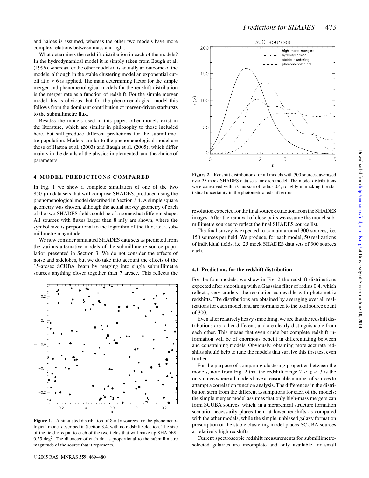and haloes is assumed, whereas the other two models have more complex relations between mass and light.

What determines the redshift distribution in each of the models? In the hydrodynamical model it is simply taken from Baugh et al. (1996), whereas for the other models it is actually an outcome of the models, although in the stable clustering model an exponential cutoff at  $z \approx 6$  is applied. The main determining factor for the simple merger and phenomenological models for the redshift distribution is the merger rate as a function of redshift. For the simple merger model this is obvious, but for the phenomenological model this follows from the dominant contribution of merger-driven starbursts to the submillimetre flux.

Besides the models used in this paper, other models exist in the literature, which are similar in philosophy to those included here, but still produce different predictions for the submillimetre population. Models similar to the phenomenological model are those of Hatton et al. (2003) and Baugh et al. (2005), which differ mainly in the details of the physics implemented, and the choice of parameters.

#### **4 MODEL PREDICTIONS COMPARED**

In Fig. 1 we show a complete simulation of one of the two 850-µm data sets that will comprise SHADES, produced using the phenomenological model described in Section 3.4. A simple square geometry was chosen, although the actual survey geometry of each of the two SHADES fields could be of a somewhat different shape. All sources with fluxes larger than 8 mJy are shown, where the symbol size is proportional to the logarithm of the flux, i.e. a submillimetre magnitude.

We now consider simulated SHADES data sets as predicted from the various alternative models of the submillimetre source population presented in Section 3. We do not consider the effects of noise and sidelobes, but we do take into account the effects of the 15-arcsec SCUBA beam by merging into single submillimetre sources anything closer together than 7 arcsec. This reflects the



Figure 1. A simulated distribution of 8-mJy sources for the phenomenological model described in Section 3.4, with no redshift selection. The size of the field is equal to each of the two fields that will make up SHADES:  $0.25 \text{ deg}^2$ . The diameter of each dot is proportional to the submillimetre magnitude of the source that it represents.



**Figure 2.** Redshift distributions for all models with 300 sources, averaged over 25 mock SHADES data sets for each model. The model distributions were convolved with a Gaussian of radius 0.4, roughly mimicking the statistical uncertainty in the photometric redshift errors.

resolution expected for the final source extraction from the SHADES images. After the removal of close pairs we assume the model submillimetre sources to reflect the final SHADES source list.

The final survey is expected to contain around 300 sources, i.e. 150 sources per field. We produce, for each model, 50 realizations of individual fields, i.e. 25 mock SHADES data sets of 300 sources each.

#### **4.1 Predictions for the redshift distribution**

For the four models, we show in Fig. 2 the redshift distributions expected after smoothing with a Gaussian filter of radius 0.4, which reflects, very crudely, the resolution achievable with photometric redshifts. The distributions are obtained by averaging over all realizations for each model, and are normalized to the total source count of 300.

Even after relatively heavy smoothing, we see that the redshift distributions are rather different, and are clearly distinguishable from each other. This means that even crude but complete redshift information will be of enormous benefit in differentiating between and constraining models. Obviously, obtaining more accurate redshifts should help to tune the models that survive this first test even further.

For the purpose of comparing clustering properties between the models, note from Fig. 2 that the redshift range  $2 < z < 3$  is the only range where all models have a reasonable number of sources to attempt a correlation function analysis. The differences in the distribution stem from the different assumptions for each of the models: the simple merger model assumes that only high-mass mergers can form SCUBA sources, which, in a hierarchical structure formation scenario, necessarily places them at lower redshifts as compared with the other models, while the simple, unbiased galaxy formation prescription of the stable clustering model places SCUBA sources at relatively high redshifts.

Current spectroscopic redshift measurements for submillimetreselected galaxies are incomplete and only available for small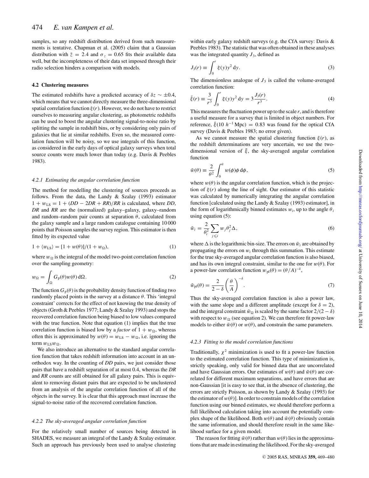samples, so any redshift distribution derived from such measurements is tentative. Chapman et al. (2005) claim that a Gaussian distribution with  $\bar{z} = 2.4$  and  $\sigma_z = 0.65$  fits their available data well, but the incompleteness of their data set imposed through their radio selection hinders a comparison with models.

#### **4.2 Clustering measures**

The estimated redshifts have a predicted accuracy of  $\delta z \sim \pm 0.4$ , which means that we cannot directly measure the three-dimensional spatial correlation function  $\xi(r)$ . However, we do not have to restrict ourselves to measuring angular clustering, as photometric redshifts can be used to boost the angular clustering signal-to-noise ratio by splitting the sample in redshift bins, or by considering only pairs of galaxies that lie at similar redshifts. Even so, the measured correlation function will be noisy, so we use integrals of this function, as considered in the early days of optical galaxy surveys when total source counts were much lower than today (e.g. Davis & Peebles 1983).

#### *4.2.1 Estimating the angular correlation function*

The method for modelling the clustering of sources proceeds as follows. From the data, the Landy & Szalay (1993) estimator  $1 + w_{LS} = 1 + (DD - 2DR + RR)/RR$  is calculated, where *DD*, *DR* and *RR* are the (normalized) galaxy–galaxy, galaxy–random and random–random pair counts at separation  $\theta$ , calculated from the galaxy sample and a large random catalogue containing 10 000 points that Poisson samples the survey region. This estimator is then fitted by its expected value

$$
1 + \langle w_{\text{LS}} \rangle = [1 + w(\theta)]/(1 + w_{\Omega}), \tag{1}
$$

where  $w_{\Omega}$  is the integral of the model two-point correlation function over the sampling geometry:

$$
w_{\Omega} = \int_{\Omega} G_{\mathbf{p}}(\theta) w(\theta) \, d\Omega.
$$
 (2)

The function  $G_p(\theta)$  is the probability density function of finding two randomly placed points in the survey at a distance  $\theta$ . This 'integral constraint' corrects for the effect of not knowing the true density of objects (Groth & Peebles 1977; Landy & Szalay 1993) and stops the recovered correlation function being biased to low values compared with the true function. Note that equation (1) implies that the true correlation function is biased low by a *factor* of  $1 + w_{\Omega}$ , whereas often this is approximated by  $w(\theta) = w_{LS} - w_{\Omega}$ , i.e. ignoring the term  $w_{LS}w_{\Omega}$ .

We also introduce an alternative to the standard angular correlation function that takes redshift information into account in an unorthodox way. In the counting of *DD* pairs, we just consider those pairs that have a redshift separation of at most 0.4, whereas the *DR* and *RR* counts are still obtained for all galaxy pairs. This is equivalent to removing distant pairs that are expected to be unclustered from an analysis of the angular correlation function of all of the objects in the survey. It is clear that this approach must increase the signal-to-noise ratio of the recovered correlation function.

#### *4.2.2 The sky-averaged angular correlation function*

For the relatively small number of sources being detected in SHADES, we measure an integral of the Landy & Szalay estimator. Such an approach has previously been used to analyse clustering

within early galaxy redshift surveys (e.g. the CfA survey: Davis & Peebles 1983). The statistic that was often obtained in these analyses was the integrated quantity  $J_3$ , defined as

$$
J_3(r) \equiv \int_0^r \xi(y) y^2 dy.
$$
 (3)

The dimensionless analogue of  $J_3$  is called the volume-averaged correlation function:

$$
\bar{\xi}(r) \equiv \frac{3}{r^3} \int_0^r \xi(y) y^2 dy = 3 \frac{J_3(r)}{r^3}.
$$
 (4)

This measures the fluctuation power up to the scale *r*, and is therefore a useful measure for a survey that is limited in object numbers. For reference,  $\bar{\xi}$ (10 *h*<sup>-1</sup> Mpc) = 0.83 was found for the optical CfA survey (Davis & Peebles 1983; no error given).

As we cannot measure the spatial clustering function  $\xi(r)$ , as the redshift determinations are very uncertain, we use the twodimensional version of  $\bar{\xi}$ , the sky-averaged angular correlation function

$$
\bar{w}(\theta) \equiv \frac{2}{\theta^2} \int_0^{\theta} w(\phi) \phi \, d\phi, \tag{5}
$$

where  $w(\theta)$  is the angular correlation function, which is the projection of  $\xi(r)$  along the line of sight. Our estimator of this statistic was calculated by numerically integrating the angular correlation function [calculated using the Landy & Szalay (1993) estimator], in the form of logarithmically binned estimates  $w_i$ , up to the angle  $\theta_i$ using equation (5):

$$
\bar{w}_i = \frac{2}{\theta_i^2} \sum_{j \le i} w_j \theta_j^2 \Delta,\tag{6}
$$

where  $\Delta$  is the logarithmic bin-size. The errors on  $\bar{w}_i$  are obtained by propagating the errors on  $w_i$  through this summation. This estimate for the true sky-averaged angular correlation function is also biased, and has its own integral constraint, similar to the one for  $w(\theta)$ . For a power-law correlation function  $w_{\text{pl}}(\theta) = (\theta/A)^{-\delta}$ ,

$$
\bar{w}_{\rm pl}(\theta) = \frac{2}{2 - \delta} \left(\frac{\theta}{A}\right)^{-\delta}.\tag{7}
$$

Thus the sky-averaged correlation function is also a power law, with the same slope and a different amplitude (except for  $\delta = 2$ ), and the integral constraint  $\bar{w}_{\Omega}$  is scaled by the same factor  $2/(2 - \delta)$ with respect to  $w_{\Omega}$  (see equation 2). We can therefore fit power-law models to either  $\bar{w}(\theta)$  or  $w(\theta)$ , and constrain the same parameters.

#### *4.2.3 Fitting to the model correlation functions*

Traditionally,  $\chi^2$  minimization is used to fit a power-law function to the estimated correlation function. This type of minimization is, strictly speaking, only valid for binned data that are uncorrelated and have Gaussian errors. Our estimates of  $w(\theta)$  and  $\bar{w}(\theta)$  are correlated for different maximum separations, and have errors that are non-Gaussian [it is easy to see that, in the absence of clustering, the errors are strictly Poisson, as shown by Landy & Szalay (1993) for the estimator of  $w(\theta)$ ]. In order to constrain models of the correlation function using our binned estimates, we should therefore perform a full likelihood calculation taking into account the potentially complex shape of the likelihood. Both  $w(\theta)$  and  $\bar{w}(\theta)$  obviously contain the same information, and should therefore result in the same likelihood surface for a given model.

The reason for fitting  $\bar{w}(\theta)$  rather than  $w(\theta)$  lies in the approximations that are made in estimating the likelihood. For the sky-averaged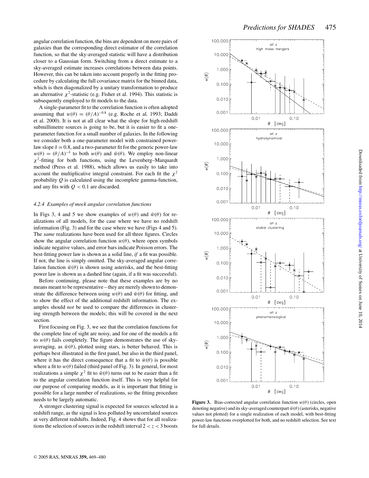angular correlation function, the bins are dependent on more pairs of galaxies than the corresponding direct estimator of the correlation function, so that the sky-averaged statistic will have a distribution closer to a Gaussian form. Switching from a direct estimate to a sky-averaged estimate increases correlations between data points. However, this can be taken into account properly in the fitting procedure by calculating the full covariance matrix for the binned data, which is then diagonalized by a unitary transformation to produce an alternative  $\chi^2$ -statistic (e.g. Fisher et al. 1994). This statistic is subsequently employed to fit models to the data.

A single-parameter fit to the correlation function is often adopted assuming that  $w(\theta) = (\theta/A)^{-0.8}$  (e.g. Roche et al. 1993; Daddi et al. 2000). It is not at all clear what the slope for high-redshift submillimetre sources is going to be, but it is easier to fit a oneparameter function for a small number of galaxies. In the following we consider both a one-parameter model with constrained powerlaw slope  $\delta = 0.8$ , and a two-parameter fit for the generic power-law  $w(\theta) = (\theta/A)^{-\delta}$  to both  $w(\theta)$  and  $\bar{w}(\theta)$ . We employ non-linear  $\chi^2$ -fitting for both functions, using the Levenberg–Marquardt method (Press et al. 1988), which allows us easily to take into account the multiplicative integral constraint. For each fit the  $\chi^2$ probability *Q* is calculated using the incomplete gamma-function, and any fits with *Q* < 0.1 are discarded.

#### *4.2.4 Examples of mock angular correlation functions*

In Figs 3, 4 and 5 we show examples of  $w(\theta)$  and  $\bar{w}(\theta)$  for realizations of all models, for the case where we have no redshift information (Fig. 3) and for the case where we have (Figs 4 and 5). The *same* realizations have been used for all three figures. Circles show the angular correlation function  $w(\theta)$ , where open symbols indicate negative values, and error bars indicate Poisson errors. The best-fitting power law is shown as a solid line, *if* a fit was possible. If not, the line is simply omitted. The sky-averaged angular correlation function  $\bar{w}(\theta)$  is shown using asterisks, and the best-fitting power law is shown as a dashed line (again, if a fit was successful).

Before continuing, please note that these examples are by no means meant to be representative – they are merely shown to demonstrate the difference between using  $w(\theta)$  and  $\bar{w}(\theta)$  for fitting, and to show the effect of the additional redshift information. The examples should *not* be used to compare the differences in clustering strength between the models; this will be covered in the next section.

First focusing on Fig. 3, we see that the correlation functions for the complete line of sight are noisy, and for one of the models a fit to  $w(\theta)$  fails completely. The figure demonstrates the use of skyaveraging, as  $\bar{w}(\theta)$ , plotted using stars, is better behaved. This is perhaps best illustrated in the first panel, but also in the third panel, where it has the direct consequence that a fit to  $\bar{w}(\theta)$  is possible where a fit to  $w(\theta)$  failed (third panel of Fig. 3). In general, for most realizations a simple  $\chi^2$  fit to  $\bar{w}(\theta)$  turns out to be easier than a fit to the angular correlation function itself. This is very helpful for our purpose of comparing models, as it is important that fitting is possible for a large number of realizations, so the fitting procedure needs to be largely automatic.

A stronger clustering signal is expected for sources selected in a redshift range, as the signal is less polluted by uncorrelated sources at very different redshifts. Indeed, Fig. 4 shows that for all realizations the selection of sources in the redshift interval  $2 < z < 3$  boosts



**Figure 3.** Bias-corrected angular correlation function  $w(\theta)$  (circles, open denoting negative) and its sky-averaged counterpart  $\bar{w}(\theta)$  (asterisks, negative values not plotted) for a single realization of each model, with best-fitting power-law functions overplotted for both, and no redshift selection. See text for full details.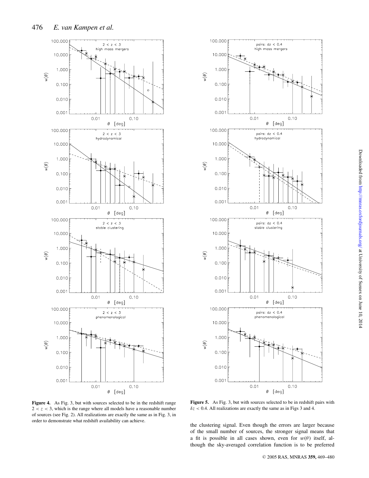



Figure 4. As Fig. 3, but with sources selected to be in the redshift range  $2 < z < 3$ , which is the range where all models have a reasonable number of sources (see Fig. 2). All realizations are exactly the same as in Fig. 3, in order to demonstrate what redshift availability can achieve.

Figure 5. As Fig. 3, but with sources selected to be in redshift pairs with  $\delta z < 0.4$ . All realizations are exactly the same as in Figs 3 and 4.

the clustering signal. Even though the errors are larger because of the small number of sources, the stronger signal means that a fit is possible in all cases shown, even for  $w(\theta)$  itself, although the sky-averaged correlation function is to be preferred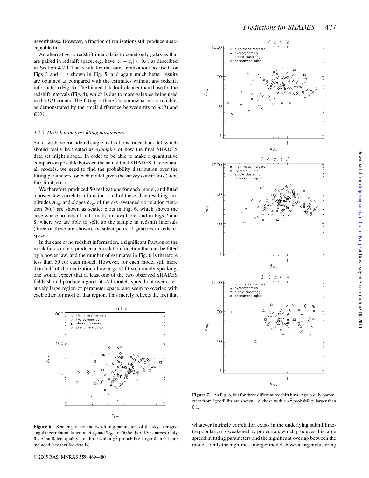An alternative to redshift intervals is to count only galaxies that are paired in redshift space, e.g. have  $|z_i - z_j| < 0.4$ , as described in Section 4.2.1 The result for the same realizations as used for Figs 3 and 4 is shown in Fig. 5, and again much better results are obtained as compared with the estimates without any redshift information (Fig. 3). The binned data look cleaner than those for the redshift intervals (Fig. 4), which is due to more galaxies being used in the *DD* counts. The fitting is therefore somewhat more reliable, as demonstrated by the small difference between fits to  $w(\theta)$  and  $\bar{w}(\theta)$ .

#### *4.2.5 Distribution over fitting parameters*

So far we have considered single realizations for each model, which should really be treated as *examples* of how the final SHADES data set might appear. In order to be able to make a quantitative comparison possible between the actual final SHADES data set and all models, we need to find the probability distribution over the fitting parameters for each model given the survey constraints (area, flux limit, etc.).

We therefore produced 50 realizations for each model, and fitted a power-law correlation function to all of these. The resulting amplitudes  $A_{sky}$  and slopes  $\delta_{sky}$  of the sky-averaged correlation function  $\bar{w}(\theta)$  are shown as scatter plots in Fig. 6, which shows the case where no redshift information is available, and in Figs 7 and 8, where we are able to split up the sample in redshift intervals (three of these are shown), or select pairs of galaxies in redshift space.

In the case of no redshift information, a significant fraction of the mock fields do not produce a correlation function that can be fitted by a power law, and the number of estimates in Fig. 6 is therefore less than 50 for each model. However, for each model still more than half of the realization allow a good fit so, crudely speaking, one would expect that at least one of the two observed SHADES fields should produce a good fit. All models spread out over a relatively large region of parameter space, and seem to overlap with each other for most of that region. This merely reflects the fact that



Figure 6. Scatter plot for the two fitting parameters of the sky-averaged angular correlation function,  $A_{sky}$  and  $\delta_{sky}$ , for 50 fields of 150 sources. Only fits of sufficient quality, i.e. those with a  $\chi^2$  probability larger than 0.1, are included (see text for details).



Figure 7. As Fig. 6, but for three different redshift bins. Again only parameters from 'good' fits are shown, i.e. those with a  $\chi^2$  probability larger than 0.1.

whatever intrinsic correlation exists in the underlying submillimetre population is weakened by projection, which produces this large spread in fitting parameters and the significant overlap between the models. Only the high-mass merger model shows a larger clustering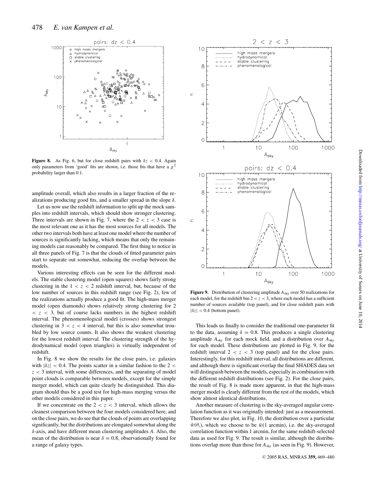

**Figure 8.** As Fig. 6, but for close redshift pairs with  $\delta z$  < 0.4. Again only parameters from 'good' fits are shown, i.e. those fits that have a  $\chi^2$ probability larger than 0.1.

amplitude overall, which also results in a larger fraction of the realizations producing good fits, and a smaller spread in the slope  $\delta$ .

Let us now use the redshift information to split up the mock samples into redshift intervals, which should show stronger clustering. Three intervals are shown in Fig. 7, where the  $2 < z < 3$  case is the most relevant one as it has the most sources for all models. The other two intervals both have at least one model where the number of sources is significantly lacking, which means that only the remaining models can reasonably be compared. The first thing to notice in all three panels of Fig. 7 is that the clouds of fitted parameter pairs start to separate out somewhat, reducing the overlap between the models.

Various interesting effects can be seen for the different models. The stable clustering model (open squares) shows fairly strong clustering in the  $1 < z < 2$  redshift interval, but, because of the low number of sources in this redshift range (see Fig. 2), few of the realizations actually produce a good fit. The high-mass merger model (open diamonds) shows relatively strong clustering for 2  $\langle z \rangle$  z  $\langle z \rangle$  3, but of course lacks numbers in the highest redshift interval. The phenomenological model (crosses) shows strongest clustering in  $3 < z < 4$  interval, but this is also somewhat troubled by low source counts. It also shows the weakest clustering for the lowest redshift interval. The clustering strength of the hydrodynamical model (open triangles) is virtually independent of redshift.

In Fig. 8 we show the results for the close pairs, i.e. galaxies with  $|\delta z|$  < 0.4. The points scatter in a similar fashion to the 2 < *z* < 3 interval, with some differences, and the separating of model point clouds is comparable between models, except for the simple merger model, which can quite clearly be distinguished. This diagram should thus be a good test for high-mass merging versus the other models considered in this paper.

If we concentrate on the  $2 < z < 3$  interval, which allows the cleanest comparison between the four models considered here, and on the close pairs, we do see that the clouds of points are overlapping significantly, but the distributions are elongated somewhat along the δ-axis, and have different mean clustering amplitudes *A*. Also, the mean of the distribution is near  $\delta = 0.8$ , observationally found for a range of galaxy types.



**Figure 9.** Distribution of clustering amplitude *A*sky over 50 realizations for each model, for the redshift bin  $2 < z < 3$ , where each model has a sufficient number of sources available (top panel), and for close redshift pairs with  $|\delta z|$  < 0.4 (bottom panel).

This leads us finally to consider the traditional one-parameter fit to the data, assuming  $\delta = 0.8$ . This produces a single clustering amplitude  $A_{sky}$  for each mock field, and a distribution over  $A_{sky}$ for each model. These distributions are plotted in Fig. 9, for the redshift interval  $2 < z < 3$  (top panel) and for the close pairs. Interestingly, for this redshift interval, all distributions are different, and although there is significant overlap the final SHADES data set will distinguish between the models, especially in combination with the different redshift distributions (see Fig. 2). For the close pairs, the result of Fig. 8 is made more apparent, in that the high-mass merger model is clearly different from the rest of the models, which show almost identical distributions.

Another measure of clustering is the sky-averaged angular correlation function as it was originally intended: just as a measurement. Therefore we also plot, in Fig. 10, the distribution over a particular  $\bar{w}(\theta_i)$ , which we choose to be  $\bar{w}(1 \text{ arcmin})$ , i.e. the sky-averaged correlation function within 1 arcmin, for the same redshift-selected data as used for Fig. 9. The result is similar, although the distributions overlap more than those for  $A_{sky}$  (as seen in Fig. 9). However,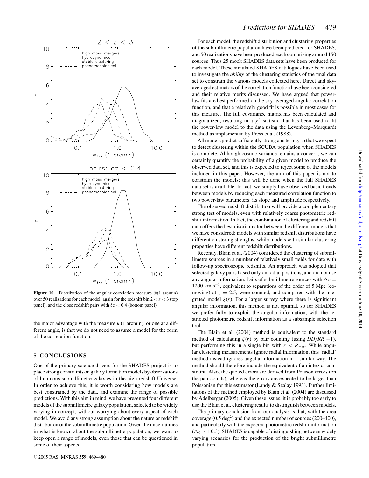

**Figure 10.** Distribution of the angular correlation measure  $\bar{w}(1 \text{ arcmin})$ over 50 realizations for each model, again for the redshift bin  $2 < z < 3$  (top panel), and the close redshift pairs with  $\delta z < 0.4$  (bottom panel).

the major advantage with the measure  $\bar{w}(1 \text{ arcmin})$ , or one at a different angle, is that we do not need to assume a model for the form of the correlation function.

#### **5 CONCLUSIONS**

One of the primary science drivers for the SHADES project is to place strong constraints on galaxy formation models by observations of luminous submillimetre galaxies in the high-redshift Universe. In order to achieve this, it is worth considering how models are best constrained by the data, and examine the range of possible predictions. With this aim in mind, we have presented four different models of the submillimetre galaxy population, selected to be widely varying in concept, without worrying about every aspect of each model. We avoid any strong assumption about the nature or redshift distribution of the submillimetre population. Given the uncertainties in what is known about the submillimetre population, we want to keep open a range of models, even those that can be questioned in some of their aspects.

For each model, the redshift distribution and clustering properties of the submillimetre population have been predicted for SHADES, and 50 realizations have been produced, each comprising around 150 sources. Thus 25 mock SHADES data sets have been produced for each model. These simulated SHADES catalogues have been used to investigate the *ability* of the clustering statistics of the final data set to constrain the various models collected here. Direct and skyaveraged estimators of the correlation function have been considered and their relative merits discussed. We have argued that powerlaw fits are best performed on the sky-averaged angular correlation function, and that a relatively good fit is possible in most cases for this measure. The full covariance matrix has been calculated and diagonalized, resulting in a  $\chi^2$  statistic that has been used to fit the power-law model to the data using the Levenberg–Marquardt method as implemented by Press et al. (1988).

All models predict sufficiently strong clustering, so that we expect to detect clustering within the SCUBA population when SHADES is complete. Although cosmic variance remains a concern, we can certainly quantify the probability of a given model to produce the observed data set, and this is expected to reject some of the models included in this paper. However, the aim of this paper is not to constrain the models; this will be done when the full SHADES data set is available. In fact, we simply have observed basic trends between models by reducing each measured correlation function to two power-law parameters: its slope and amplitude respectively.

The observed redshift distribution will provide a complementary strong test of models, even with relatively coarse photometric redshift information. In fact, the combination of clustering and redshift data offers the best discriminator between the different models that we have considered: models with similar redshift distributions have different clustering strengths, while models with similar clustering properties have different redshift distributions.

Recently, Blain et al. (2004) considered the clustering of submillimetre sources in a number of relatively small fields for data with follow-up spectroscopic redshifts. An approach was adopted that selected galaxy pairs based only on radial positions, and did not use any angular information. Pairs of submillimetre sources with  $\Delta v =$ 1200 km s<sup>−</sup><sup>1</sup> , equivalent to separations of the order of 5 Mpc (comoving) at  $z = 2.5$ , were counted, and compared with the integrated model  $\xi(r)$ . For a larger survey where there is significant angular information, this method is not optimal, so for SHADES we prefer fully to exploit the angular information, with the restricted photometric redshift information as a subsample selection tool.

The Blain et al. (2004) method is equivalent to the standard method of calculating  $\xi(r)$  by pair counting (using *DD*/*RR* −1), but performing this in a single bin with  $r < R_{\text{max}}$ . While angular clustering measurements ignore radial information, this 'radial' method instead ignores angular information in a similar way. The method should therefore include the equivalent of an integral constraint. Also, the quoted errors are derived from Poisson errors (on the pair counts), whereas the errors are expected to be larger than Poissonian for this estimator (Landy & Szalay 1993). Further limitations of the method employed by Blain et al. (2004) are discussed by Adelberger (2005). Given these issues, it is probably too early to use the Blain et al. clustering results to distinguish between models.

The primary conclusion from our analysis is that, with the area coverage  $(0.5 \text{ deg}^2)$  and the expected number of sources  $(200-400)$ , and particularly with the expected photometric redshift information (*z* ∼ ±0.3), SHADES is capable of distinguishing between widely varying scenarios for the production of the bright submillimetre population.